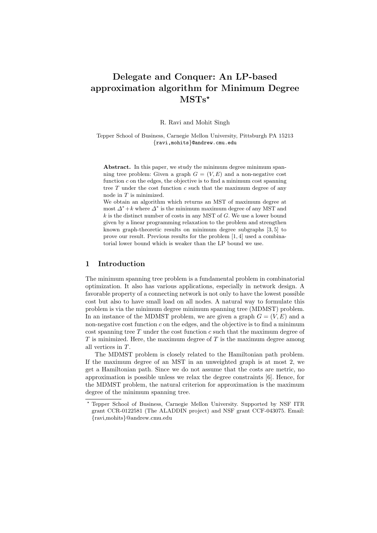# Delegate and Conquer: An LP-based approximation algorithm for Minimum Degree  $MSTs^{\star}$

R. Ravi and Mohit Singh

Tepper School of Business, Carnegie Mellon University, Pittsburgh PA 15213 {ravi,mohits}@andrew.cmu.edu

Abstract. In this paper, we study the minimum degree minimum spanning tree problem: Given a graph  $G = (V, E)$  and a non-negative cost function  $c$  on the edges, the objective is to find a minimum cost spanning tree  $T$  under the cost function  $c$  such that the maximum degree of any node in T is minimized.

We obtain an algorithm which returns an MST of maximum degree at most  $\Delta^* + k$  where  $\Delta^*$  is the minimum maximum degree of any MST and  $k$  is the distinct number of costs in any MST of  $G$ . We use a lower bound given by a linear programming relaxation to the problem and strengthen known graph-theoretic results on minimum degree subgraphs [3, 5] to prove our result. Previous results for the problem [1, 4] used a combinatorial lower bound which is weaker than the LP bound we use.

# 1 Introduction

The minimum spanning tree problem is a fundamental problem in combinatorial optimization. It also has various applications, especially in network design. A favorable property of a connecting network is not only to have the lowest possible cost but also to have small load on all nodes. A natural way to formulate this problem is via the minimum degree minimum spanning tree (MDMST) problem. In an instance of the MDMST problem, we are given a graph  $G = (V, E)$  and a non-negative cost function  $c$  on the edges, and the objective is to find a minimum  $\cos t$  spanning tree T under the cost function c such that the maximum degree of T is minimized. Here, the maximum degree of T is the maximum degree among all vertices in T.

The MDMST problem is closely related to the Hamiltonian path problem. If the maximum degree of an MST in an unweighted graph is at most 2, we get a Hamiltonian path. Since we do not assume that the costs are metric, no approximation is possible unless we relax the degree constraints [6]. Hence, for the MDMST problem, the natural criterion for approximation is the maximum degree of the minimum spanning tree.

<sup>?</sup> Tepper School of Business, Carnegie Mellon University. Supported by NSF ITR grant CCR-0122581 (The ALADDIN project) and NSF grant CCF-043075. Email: {ravi,mohits}@andrew.cmu.edu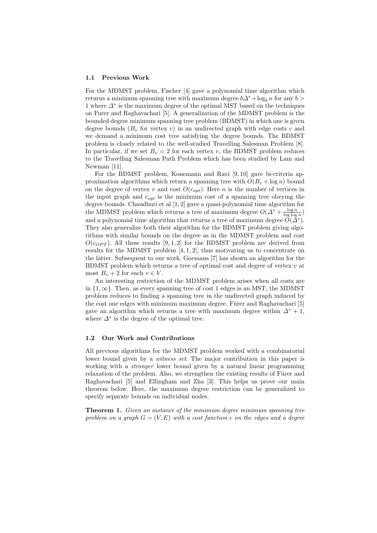#### 1.1 Previous Work

For the MDMST problem, Fischer [4] gave a polynomial time algorithm which returns a minimum spanning tree with maximum degree  $b\Delta^* + \log_b n$  for any  $b >$ 1 where ∆<sup>∗</sup> is the maximum degree of the optimal MST based on the techniques on Furer and Raghavachari [5]. A generalization of the MDMST problem is the bounded degree minimum spanning tree problem (BDMST) in which one is given degree bounds  $(B_v$  for vertex v) in an undirected graph with edge costs c and we demand a minimum cost tree satisfying the degree bounds. The BDMST problem is closely related to the well-studied Travelling Salesman Problem [8]. In particular, if we set  $B_v = 2$  for each vertex v, the BDMST problem reduces to the Travelling Salesman Path Problem which has been studied by Lam and Newman [11].

For the BDMST problem, Konemann and Ravi [9, 10] gave bi-criteria approximation algorithms which return a spanning tree with  $O(B_v + \log n)$  bound on the degree of vertex v and cost  $O(c_{opt})$ . Here n is the number of vertices in the input graph and  $c_{opt}$  is the minimum cost of a spanning tree obeying the degree bounds. Chaudhuri et al [1, 2] gave a quasi-polynomial time algorithm for the MDMST problem which returns a tree of maximum degree  $O(\Delta^* + \frac{\log n}{\log \log n})$ and a polynomial time algorithm that returns a tree of maximum degree  $\tilde{O}(\tilde{\Delta}^*)$ . They also generalize both their algorithm for the BDMST problem giving algorithms with similar bounds on the degree as in the MDMST problem and cost  $O(c_{OPT})$ . All these results [9, 1, 2] for the BDMST problem are derived from results for the MDMST problem  $[4, 1, 2]$ , thus motivating us to concentrate on the latter. Subsequent to our work, Goemans [7] has shown an algorithm for the BDMST problem which returns a tree of optimal cost and degree of vertex  $v$  at most  $B_v + 2$  for each  $v \in V$ .

An interesting restriction of the MDMST problem arises when all costs are in  $\{1,\infty\}$ . Then, as every spanning tree of cost 1 edges is an MST, the MDMST problem reduces to finding a spanning tree in the undirected graph induced by the cost one edges with minimum maximum degree. Fürer and Raghavachari [5] gave an algorithm which returns a tree with maximum degree within  $\Delta^* + 1$ , where  $\Delta^*$  is the degree of the optimal tree.

# 1.2 Our Work and Contributions

All previous algorithms for the MDMST problem worked with a combinatorial lower bound given by a *witness set*. The major contribution in this paper is working with a *stronger* lower bound given by a natural linear programming relaxation of the problem. Also, we strengthen the existing results of Fürer and Raghavachari [5] and Ellingham and Zha [3]. This helps us prove our main theorem below. Here, the maximum degree restriction can be generalized to specify separate bounds on individual nodes.

**Theorem 1.** Given an instance of the minimum degree minimum spanning tree problem on a graph  $G = (V, E)$  with a cost function c on the edges and a degree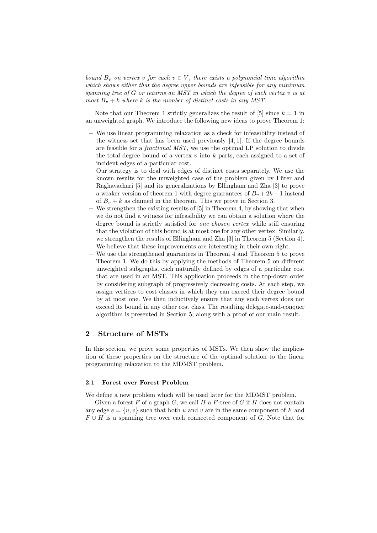bound  $B_v$  on vertex v for each  $v \in V$ , there exists a polynomial time algorithm which shows either that the degree upper bounds are infeasible for any minimum spanning tree of  $G$  or returns an MST in which the degree of each vertex  $v$  is at most  $B_v + k$  where k is the number of distinct costs in any MST.

Note that our Theorem 1 strictly generalizes the result of  $[5]$  since  $k = 1$  in an unweighted graph. We introduce the following new ideas to prove Theorem 1:

– We use linear programming relaxation as a check for infeasibility instead of the witness set that has been used previously  $[4, 1]$ . If the degree bounds are feasible for a fractional MST, we use the optimal LP solution to divide the total degree bound of a vertex  $v$  into  $k$  parts, each assigned to a set of incident edges of a particular cost.

Our strategy is to deal with edges of distinct costs separately. We use the known results for the unweighted case of the problem given by Fürer and Raghavachari [5] and its generalizations by Ellingham and Zha [3] to prove a weaker version of theorem 1 with degree guarantees of  $B_n + 2k - 1$  instead of  $B_v + k$  as claimed in the theorem. This we prove in Section 3.

- We strengthen the existing results of [5] in Theorem 4, by showing that when we do not find a witness for infeasibility we can obtain a solution where the degree bound is strictly satisfied for one chosen vertex while still ensuring that the violation of this bound is at most one for any other vertex. Similarly, we strengthen the results of Ellingham and Zha [3] in Theorem 5 (Section 4). We believe that these improvements are interesting in their own right.
- We use the strengthened guarantees in Theorem 4 and Theorem 5 to prove Theorem 1. We do this by applying the methods of Theorem 5 on different unweighted subgraphs, each naturally defined by edges of a particular cost that are used in an MST. This application proceeds in the top-down order by considering subgraph of progressively decreasing costs. At each step, we assign vertices to cost classes in which they can exceed their degree bound by at most one. We then inductively ensure that any such vertex does not exceed its bound in any other cost class. The resulting delegate-and-conquer algorithm is presented in Section 5, along with a proof of our main result.

## 2 Structure of MSTs

In this section, we prove some properties of MSTs. We then show the implication of these properties on the structure of the optimal solution to the linear programming relaxation to the MDMST problem.

#### 2.1 Forest over Forest Problem

We define a new problem which will be used later for the MDMST problem.

Given a forest  $F$  of a graph  $G$ , we call  $H$  a  $F$ -tree of  $G$  if  $H$  does not contain any edge  $e = \{u, v\}$  such that both u and v are in the same component of F and  $F \cup H$  is a spanning tree over each connected component of G. Note that for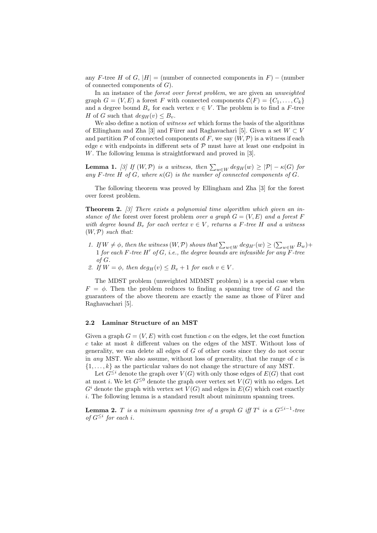any F-tree H of G,  $|H| =$  (number of connected components in F) – (number of connected components of  $G$ ).

In an instance of the forest over forest problem, we are given an unweighted graph  $G = (V, E)$  a forest F with connected components  $\mathcal{C}(F) = \{C_1, \ldots, C_k\}$ and a degree bound  $B_v$  for each vertex  $v \in V$ . The problem is to find a F-tree H of G such that  $deg_H(v) \leq B_v$ .

We also define a notion of *witness set* which forms the basis of the algorithms of Ellingham and Zha [3] and Fürer and Raghavachari [5]. Given a set  $W \subset V$ and partition  $\mathcal P$  of connected components of F, we say  $(W, \mathcal P)$  is a witness if each edge  $e$  with endpoints in different sets of  $P$  must have at least one endpoint in W. The following lemma is straightforward and proved in [3].

**Lemma 1.** [3] If  $(W, \mathcal{P})$  is a witness, then  $\sum_{w \in W} deg_H(w) \geq |\mathcal{P}| - \kappa(G)$  for any F-tree H of G, where  $\kappa(G)$  is the number of connected components of G.

The following theorem was proved by Ellingham and Zha [3] for the forest over forest problem.

**Theorem 2.** [3] There exists a polynomial time algorithm which given an instance of the forest over forest problem over a graph  $G = (V, E)$  and a forest F with degree bound  $B_v$  for each vertex  $v \in V$ , returns a F-tree H and a witness  $(W, \mathcal{P})$  such that:

- 1. If  $W \neq \phi$ , then the witness  $(W, \mathcal{P})$  shows that  $\sum_{w \in W} deg_{H'}(w) \geq (\sum_{w \in W} B_w) +$ 1 for each F-tree H' of G, i.e., the degree bounds are infeasible for any  $\overline{F\text{-}$ tree of G.
- 2. If  $W = \phi$ , then  $deg_H(v) \leq B_v + 1$  for each  $v \in V$ .

The MDST problem (unweighted MDMST problem) is a special case when  $F = \phi$ . Then the problem reduces to finding a spanning tree of G and the guarantees of the above theorem are exactly the same as those of Fürer and Raghavachari [5].

#### 2.2 Laminar Structure of an MST

Given a graph  $G = (V, E)$  with cost function c on the edges, let the cost function  $c$  take at most  $k$  different values on the edges of the MST. Without loss of generality, we can delete all edges of  $G$  of other costs since they do not occur in any MST. We also assume, without loss of generality, that the range of  $c$  is  $\{1, \ldots, k\}$  as the particular values do not change the structure of any MST.

Let  $G^{\leq i}$  denote the graph over  $V(G)$  with only those edges of  $E(G)$  that cost at most i. We let  $G^{\leq 0}$  denote the graph over vertex set  $V(G)$  with no edges. Let  $G<sup>i</sup>$  denote the graph with vertex set  $V(G)$  and edges in  $E(G)$  which cost exactly i. The following lemma is a standard result about minimum spanning trees.

**Lemma 2.** T is a minimum spanning tree of a graph G iff  $T^i$  is a  $G^{\leq i-1}$ -tree of  $G^{\leq i}$  for each i.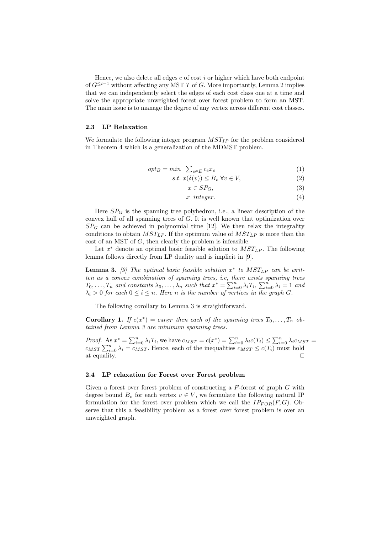Hence, we also delete all edges  $e$  of cost  $i$  or higher which have both endpoint of  $G^{\leq i-1}$  without affecting any MST T of G. More importantly, Lemma 2 implies that we can independently select the edges of each cost class one at a time and solve the appropriate unweighted forest over forest problem to form an MST. The main issue is to manage the degree of any vertex across different cost classes.

## 2.3 LP Relaxation

We formulate the following integer program  $MST_{IP}$  for the problem considered in Theorem 4 which is a generalization of the MDMST problem.

$$
opt_B = min \quad \sum_{e \in E} c_e x_e \tag{1}
$$

$$
s.t. x(\delta(v)) \le B_v \,\forall v \in V,\tag{2}
$$

$$
x \in SP_G,\tag{3}
$$

$$
x \ \ integer. \tag{4}
$$

Here  $SP_G$  is the spanning tree polyhedron, i.e., a linear description of the convex hull of all spanning trees of G. It is well known that optimization over  $SP_G$  can be achieved in polynomial time [12]. We then relax the integrality conditions to obtain  $MST_{LP}$ . If the optimum value of  $MST_{LP}$  is more than the cost of an MST of G, then clearly the problem is infeasible.

Let  $x^*$  denote an optimal basic feasible solution to  $MST_{LP}$ . The following lemma follows directly from LP duality and is implicit in [9].

**Lemma 3.** [9] The optimal basic feasible solution  $x^*$  to  $MST_{LP}$  can be written as a convex combination of spanning trees, i.e, there exists spanning trees ten as a convex comomution of spanning trees, i.e, there exists spanning trees  $T_0, \ldots, T_n$  and constants  $\lambda_0, \ldots, \lambda_n$  such that  $x^* = \sum_{i=0}^n \lambda_i T_i$ ,  $\sum_{i=0}^n \lambda_i = 1$  and  $\lambda_i > 0$  for each  $0 \leq i \leq n$ . Here n is the number of vertices in the graph G.

The following corollary to Lemma 3 is straightforward.

**Corollary 1.** If  $c(x^*) = c_{MST}$  then each of the spanning trees  $T_0, \ldots, T_n$  obtained from Lemma 3 are minimum spanning trees.

*Proof.* As  $x^* = \sum_{i=0}^n \lambda_i T_i$ , we have  $c_{MST} = c(x^*) = \sum_{i=0}^n \lambda_i c(T_i) \leq \sum_{i=0}^n \lambda_i c_{MST}$ *c*<sub>MST</sub>  $\sum_{i=0}^{\infty} \lambda_i = \sum_{i=0}^{\infty} \lambda_i t_i$ , we have  $c_{MST} = c(x^+) = \sum_{i=0}^{\infty} \lambda_i c(t_i) \leq \sum_{i=0}^{\infty} \lambda_i c^{MSS}$ <br>*c<sub>MST</sub>*  $\sum_{i=0}^{\infty} \lambda_i = c_{MST}$ . Hence, each of the inequalities  $c_{MST} \leq c(T_i)$  must hold at equality.  $\Box$ 

#### 2.4 LP relaxation for Forest over Forest problem

Given a forest over forest problem of constructing a  $F$ -forest of graph  $G$  with degree bound  $B_v$  for each vertex  $v \in V$ , we formulate the following natural IP formulation for the forest over problem which we call the  $IP_{FOR}(F, G)$ . Observe that this a feasibility problem as a forest over forest problem is over an unweighted graph.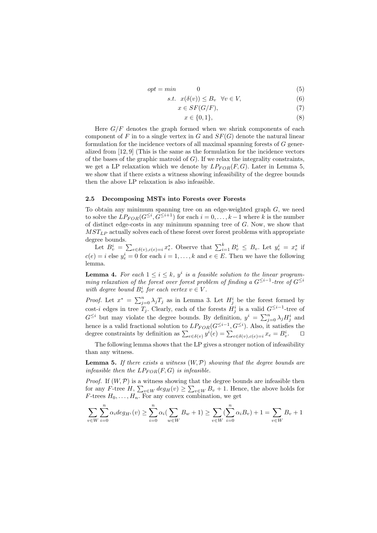$$
opt = min \qquad \qquad 0 \tag{5}
$$

$$
s.t. \quad x(\delta(v)) \le B_v \quad \forall v \in V,\tag{6}
$$

$$
x \in SF(G/F),\tag{7}
$$

$$
x \in \{0, 1\},\tag{8}
$$

Here  $G/F$  denotes the graph formed when we shrink components of each component of F in to a single vertex in G and  $SF(G)$  denote the natural linear formulation for the incidence vectors of all maximal spanning forests of G generalized from [12, 9] (This is the same as the formulation for the incidence vectors of the bases of the graphic matroid of  $G$ ). If we relax the integrality constraints, we get a LP relaxation which we denote by  $LP_{FOR}(F, G)$ . Later in Lemma 5, we show that if there exists a witness showing infeasibility of the degree bounds then the above LP relaxation is also infeasible.

#### 2.5 Decomposing MSTs into Forests over Forests

To obtain any minimum spanning tree on an edge-weighted graph  $G$ , we need to solve the  $LP_{FOR}(G^{\leq i}, G^{\leq i+1})$  for each  $i = 0, \ldots, k-1$  where k is the number of distinct edge-costs in any minimum spanning tree of  $G$ . Now, we show that  $MST_{LP}$  actually solves each of these forest over forest problems with appropriate degree bounds.

ree bounds.<br>Let  $B_v^i = \sum$  $e \in \delta(v), c(e) = i x_e^*$ . Observe that  $\sum_{i=1}^k B_v^i \leq B_v$ . Let  $y_e^i = x_e^*$  if  $c(e) = i$  else  $y_e^i = 0$  for each  $i = 1, ..., k$  and  $e \in E$ . Then we have the following lemma.

**Lemma 4.** For each  $1 \leq i \leq k$ ,  $y^i$  is a feasible solution to the linear programming relaxation of the forest over forest problem of finding a  $G^{\leq i-1}$ -tree of  $G^{\leq i}$ with degree bound  $B_v^i$  for each vertex  $v \in V$ .

*Proof.* Let  $x^* = \sum_{j=0}^n \lambda_j T_j$  as in Lemma 3. Let  $H_j^i$  be the forest formed by cost-i edges in tree  $T_j$ . Clearly, each of the forests  $H_j^i$  is a valid  $G^{\leq i-1}$ -tree of CSU-t euges in the  $I_j$ . Clearly, each of the forests  $H_j$  is a valid  $G^{-1}$  -thee of  $G^{\leq i}$  but may violate the degree bounds. By definition,  $y^i = \sum_{j=0}^n \lambda_j H_j^i$  and hence is a valid fractional solution to  $LP_{FOR}(G^{\leq i-1}, G^{\leq i})$ . Also, it satisfies the mence is a valid fractional solution to  $L_{FOR}(G^{\perp})$ ,  $G^{\perp}$ ). Also, it satisfiest degree constraints by definition as  $\sum_{e \in \delta(v)} y^{i}(e) = \sum_{e \in \delta(v), c(e) = i} x_e = B_v^{i}$  $\Box$ 

The following lemma shows that the LP gives a stronger notion of infeasibility than any witness.

**Lemma 5.** If there exists a witness  $(W, \mathcal{P})$  showing that the degree bounds are infeasible then the  $LP_{FOR}(F, G)$  is infeasible.

*Proof.* If  $(W, \mathcal{P})$  is a witness showing that the degree bounds are infeasible then for any F-tree H,  $\sum_{v \in W} deg_H(v) \ge \sum_{v \in W} B_v + 1$ . Hence, the above holds for F-trees  $H_0, \ldots, H_n$ . For any convex combination, we get

$$
\sum_{v \in W} \sum_{i=0}^{n} \alpha_i deg_{H^i}(v) \ge \sum_{i=0}^{n} \alpha_i (\sum_{w \in W} B_w + 1) \ge \sum_{v \in W} (\sum_{i=0}^{n} \alpha_i B_v) + 1 = \sum_{v \in W} B_v + 1
$$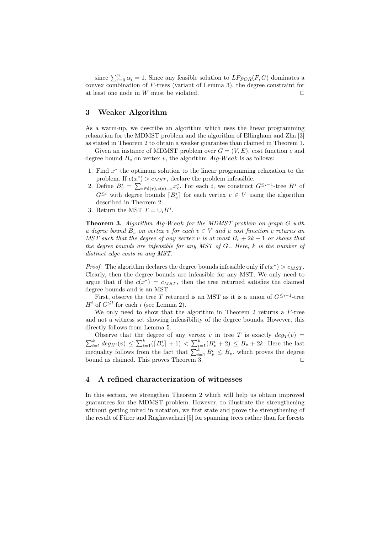since  $\sum_{i=0}^{n} \alpha_i = 1$ . Since any feasible solution to  $LP_{FOR}(F, G)$  dominates a convex combination of  $F$ -trees (variant of Lemma 3), the degree constraint for at least one node in  $W$  must be violated.  $\square$ 

# 3 Weaker Algorithm

As a warm-up, we describe an algorithm which uses the linear programming relaxation for the MDMST problem and the algorithm of Ellingham and Zha [3] as stated in Theorem 2 to obtain a weaker guarantee than claimed in Theorem 1.

Given an instance of MDMST problem over  $G = (V, E)$ , cost function c and degree bound  $B_v$  on vertex v, the algorithm  $Alg-Weak$  is as follows:

- 1. Find  $x^*$  the optimum solution to the linear programming relaxation to the problem. If  $c(x^*) > c_{MST}$ , declare the problem infeasible.
- 2. Define  $B_v^i = \sum_{e \in \delta(v), c(e) = i} x_e^*$ . For each i, we construct  $G^{\leq i-1}$ -tree  $H^i$  of  $G^{\leq i}$  with degree bounds  $[B_v^i]$  for each vertex  $v \in V$  using the algorithm described in Theorem 2.
- 3. Return the MST  $T = \bigcup_i H^i$ .

Theorem 3. Algorithm Alg-Weak for the MDMST problem on graph G with a degree bound  $B_v$  on vertex v for each  $v \in V$  and a cost function c returns an MST such that the degree of any vertex v is at most  $B_v + 2k - 1$  or shows that the degree bounds are infeasible for any MST of G.. Here, k is the number of distinct edge costs in any MST.

*Proof.* The algorithm declares the degree bounds infeasible only if  $c(x^*) > c_{MST}$ . Clearly, then the degree bounds are infeasible for any MST. We only need to argue that if the  $c(x^*) = c_{MST}$ , then the tree returned satisfies the claimed degree bounds and is an MST.

First, observe the tree T returned is an MST as it is a union of  $G^{\leq i-1}$ -tree  $H^i$  of  $G^{\leq i}$  for each i (see Lemma 2).

We only need to show that the algorithm in Theorem 2 returns a F-tree and not a witness set showing infeasibility of the degree bounds. However, this directly follows from Lemma 5.

Observe that the degree of any vertex v in tree T is exactly  $deg_T(v) = \sum_{i=1}^k deg_{H^i}(v) \le \sum_{i=1}^k (|B_v^i| + 1) < \sum_{i=1}^k (B_v^i + 2) \le B_v + 2k$ . Here the last inequality follows from the fact that  $\sum_{i=1}^k B_v^i \le B_v$ , which proves bound as claimed. This proves Theorem 3.  $\Box$ 

## 4 A refined characterization of witnesses

In this section, we strengthen Theorem 2 which will help us obtain improved guarantees for the MDMST problem. However, to illustrate the strengthening without getting mired in notation, we first state and prove the strengthening of the result of Fürer and Raghavachari [5] for spanning trees rather than for forests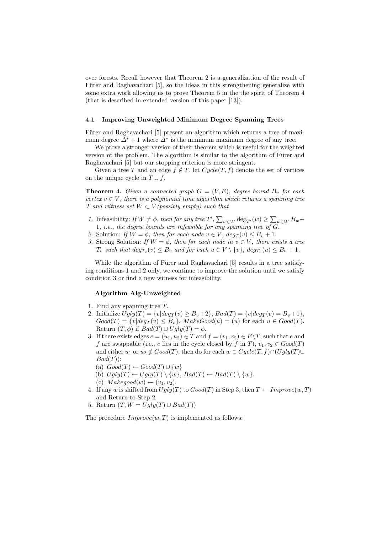over forests. Recall however that Theorem 2 is a generalization of the result of Fürer and Raghavachari [5], so the ideas in this strengthening generalize with some extra work allowing us to prove Theorem 5 in the the spirit of Theorem 4 (that is described in extended version of this paper [13]).

### 4.1 Improving Unweighted Minimum Degree Spanning Trees

Fürer and Raghavachari [5] present an algorithm which returns a tree of maximum degree  $\Delta^* + 1$  where  $\Delta^*$  is the minimum maximum degree of any tree.

We prove a stronger version of their theorem which is useful for the weighted version of the problem. The algorithm is similar to the algorithm of Fürer and Raghavachari [5] but our stopping criterion is more stringent.

Given a tree T and an edge  $f \notin T$ , let  $Cycle(T, f)$  denote the set of vertices on the unique cycle in  $T \cup f$ .

**Theorem 4.** Given a connected graph  $G = (V, E)$ , degree bound  $B<sub>v</sub>$  for each vertex  $v \in V$ , there is a polynomial time algorithm which returns a spanning tree T and witness set  $W \subset V$  (possibly empty) such that

- 1. Infeasibility: If  $W \neq \phi$ , then for any tree T',  $\sum_{w \in W} \deg_{T'}(w) \geq \sum_{w \in W} B_w +$ 1, *i.e.*, the degree bounds are infeasible for any spanning tree of  $\overline{G}$ .
- 2. Solution: If  $W = \phi$ , then for each node  $v \in V$ ,  $deg_T(v) \leq B_v + 1$ .
- 3. Strong Solution: If  $W = \phi$ , then for each node in  $v \in V$ , there exists a tree  $T_v$  such that  $deg_{T_v}(v) \leq B_v$  and for each  $u \in V \setminus \{v\}$ ,  $deg_{T_v}(u) \leq B_u + 1$ .

While the algorithm of Fürer and Raghavachari [5] results in a tree satisfying conditions 1 and 2 only, we continue to improve the solution until we satisfy condition 3 or find a new witness for infeasibility.

## Algorithm Alg-Unweighted

- 1. Find any spanning tree T.
- 2. Initialize  $Ugly(T) = \{v| deg_T(v) \ge B_v + 2\}, Bad(T) = \{v| deg_T(v) = B_v + 1\},$  $Good(T) = \{v | deg_T(v) \leq B_v\}, \ MakeGood(u) = (u) \text{ for each } u \in Good(T).$ Return  $(T, \phi)$  if  $Bad(T) \cup Ugly(T) = \phi$ .
- 3. If there exists edges  $e = (u_1, u_2) \in T$  and  $f = (v_1, v_2) \in E \backslash T$ , such that e and f are swappable (i.e., e lies in the cycle closed by f in T),  $v_1, v_2 \in Good(T)$ and either  $u_1$  or  $u_2 \notin Good(T)$ , then do for each  $w \in Cycle(T, f) \cap (Ugly(T) \cup$  $Bad(T)$ :
	- (a)  $Good(T) \leftarrow Good(T) \cup \{w\}$
	- (b)  $Uqly(T) \leftarrow Uqly(T) \setminus \{w\}$ ,  $Bad(T) \leftarrow Bad(T) \setminus \{w\}$ .
	- (c)  $Make good(w) \leftarrow (v_1, v_2).$
- 4. If any w is shifted from  $Ugly(T)$  to  $Good(T)$  in Step 3, then  $T \leftarrow Improve(w, T)$ and Return to Step 2.
- 5. Return  $(T, W = Ugly(T) \cup Bad(T))$

The procedure  $Improve(w, T)$  is implemented as follows: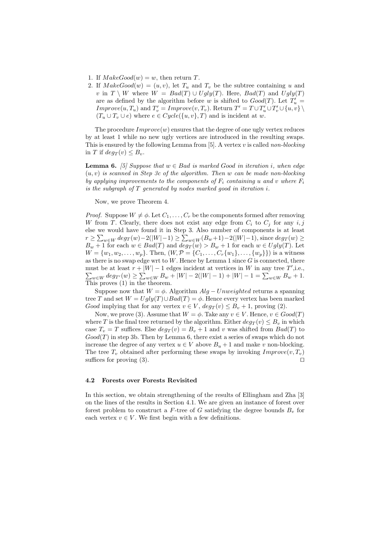- 1. If  $MakeGood(w) = w$ , then return T.
- 2. If  $MakeGood(w) = (u, v)$ , let  $T_u$  and  $T_v$  be the subtree containing u and v in  $T \setminus W$  where  $W = Bad(T) \cup Ugly(T)$ . Here,  $Bad(T)$  and  $Ugly(T)$ are as defined by the algorithm before w is shifted to  $Good(T)$ . Let  $T'_u$  $Improve(u, T_u)$  and  $T'_v = Improve(v, T_v)$ . Return  $T' = T \cup T'_u \cup T'_v \cup \{u, v\} \setminus T'_v$  $(T_u \cup T_v \cup e)$  where  $e \in Cycle({u, v}, T)$  and is incident at w.

The procedure  $Improve(w)$  ensures that the degree of one ugly vertex reduces by at least 1 while no new ugly vertices are introduced in the resulting swaps. This is ensured by the following Lemma from  $[5]$ . A vertex v is called non-blocking in T if  $deq_T(v) \leq B_v$ .

**Lemma 6.** [5] Suppose that  $w \in Bad$  is marked Good in iteration i, when edge  $(u, v)$  is scanned in Step 3c of the algorithm. Then w can be made non-blocking by applying improvements to the components of  $F_i$  containing u and v where  $F_i$ is the subgraph of T generated by nodes marked good in iteration i.

Now, we prove Theorem 4.

*Proof.* Suppose  $W \neq \emptyset$ . Let  $C_1, \ldots, C_r$  be the components formed after removing W from T. Clearly, there does not exist any edge from  $C_i$  to  $C_j$  for any  $i, j$ else we would have found it in Step 3. Also number of components is at least  $r \ge \sum_{w \in W} deg_T(w) - 2(|W| - 1) \ge \sum_{w \in W} (B_w + 1) - 2(|W| - 1)$ , since  $deg_T(w) \ge$  $B_w + 1$  for each  $w \in Bad(T)$  and  $deg_T(w) > B_w + 1$  for each  $w \in Ugly(T)$ . Let  $W = \{w_1, w_2, \ldots, w_p\}$ . Then,  $(W, \mathcal{P} = \{C_1, \ldots, C_r\{w_1\}, \ldots, \{w_p\}\})$  is a witness as there is no swap edge wrt to  $W$ . Hence by Lemma 1 since  $G$  is connected, there must be at least  $r + |W| - 1$  edges incident at vertices in W in any tree  $T'$ , i.e., st be at least  $r + |W| - 1$  edges incident at vertices in W in any tree T , i.e.,<br> $w \in W \deg_{T'}(w) \ge \sum_{w \in W} B_w + |W| - 2(|W| - 1) + |W| - 1 = \sum_{w \in W} B_w + 1$ . This proves  $(1)$  in the theorem.

Suppose now that  $W = \phi$ . Algorithm  $Alg - Unweighted$  returns a spanning tree T and set  $W = Ugly(T) \cup Bad(T) = \phi$ . Hence every vertex has been marked Good implying that for any vertex  $v \in V$ ,  $deg_T(v) \leq B_v + 1$ , proving (2).

Now, we prove (3). Assume that  $W = \phi$ . Take any  $v \in V$ . Hence,  $v \in Good(T)$ where T is the final tree returned by the algorithm. Either  $deg_T(v) \leq B_v$  in which case  $T_v = T$  suffices. Else  $deg_T(v) = B_v + 1$  and v was shifted from  $Bad(T)$  to  $Good(T)$  in step 3b. Then by Lemma 6, there exist a series of swaps which do not increase the degree of any vertex  $u \in V$  above  $B_u + 1$  and make v non-blocking. The tree  $T_v$  obtained after performing these swaps by invoking  $Improve(v, T_v)$ suffices for proving (3).  $\Box$ 

## 4.2 Forests over Forests Revisited

In this section, we obtain strengthening of the results of Ellingham and Zha [3] on the lines of the results in Section 4.1. We are given an instance of forest over forest problem to construct a F-tree of G satisfying the degree bounds  $B<sub>v</sub>$  for each vertex  $v \in V$ . We first begin with a few definitions.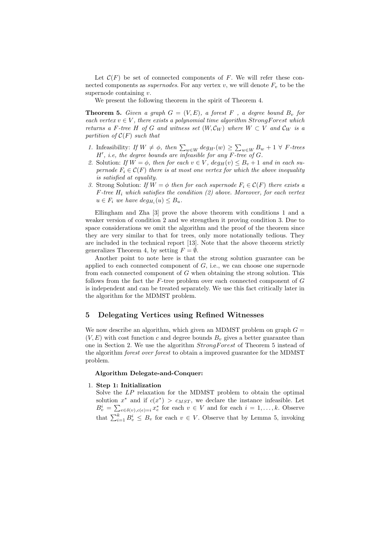Let  $\mathcal{C}(F)$  be set of connected components of F. We will refer these connected components as *supernodes*. For any vertex v, we will denote  $F_v$  to be the supernode containing  $v$ .

We present the following theorem in the spirit of Theorem 4.

**Theorem 5.** Given a graph  $G = (V, E)$ , a forest F, a degree bound  $B_v$  for each vertex  $v \in V$ , there exists a polynomial time algorithm StrongForest which returns a F-tree H of G and witness set  $(W, \mathcal{C}_W)$  where  $W \subset V$  and  $\mathcal{C}_W$  is a partition of  $\mathcal{C}(F)$  such that

- 1. Infeasibility: If  $W \neq \phi$ , then  $\sum_{w \in W} deg_{H'}(w) \geq \sum_{w \in W} B_w + 1 \ \forall \ F$ -trees  $H'$ , i.e, the degree bounds are infeasible for any  $F$ -tree of  $G$ .
- 2. Solution: If  $W = \phi$ , then for each  $v \in V$ ,  $deg_H(v) \leq B_v + 1$  and in each supernode  $F_i \in \mathcal{C}(F)$  there is at most one vertex for which the above inequality is satisfied at equality.
- 3. Strong Solution: If  $W = \phi$  then for each supernode  $F_i \in \mathcal{C}(F)$  there exists a  $F$ -tree  $H_i$  which satisfies the condition (2) above. Moreover, for each vertex  $u \in F_i$  we have  $deg_{H_i}(u) \leq B_u$ .

Ellingham and Zha [3] prove the above theorem with conditions 1 and a weaker version of condition 2 and we strengthen it proving condition 3. Due to space considerations we omit the algorithm and the proof of the theorem since they are very similar to that for trees, only more notationally tedious. They are included in the technical report [13]. Note that the above theorem strictly generalizes Theorem 4, by setting  $F = \emptyset$ .

Another point to note here is that the strong solution guarantee can be applied to each connected component of  $G$ , i.e., we can choose one supernode from each connected component of  $G$  when obtaining the strong solution. This follows from the fact the  $F$ -tree problem over each connected component of  $G$ is independent and can be treated separately. We use this fact critically later in the algorithm for the MDMST problem.

# 5 Delegating Vertices using Refined Witnesses

We now describe an algorithm, which given an MDMST problem on graph  $G =$  $(V, E)$  with cost function c and degree bounds  $B<sub>v</sub>$  gives a better guarantee than one in Section 2. We use the algorithm StrongForest of Theorem 5 instead of the algorithm forest over forest to obtain a improved guarantee for the MDMST problem.

# Algorithm Delegate-and-Conquer:

## 1. Step 1: Initialization

Solve the LP relaxation for the MDMST problem to obtain the optimal solution  $x^*$  and if  $c(x^*) > c_{MST}$ , we declare the instance infeasible. Let solution<br> $B_v^i = \sum$  $e \in \delta(v), c(e) = i x_e^*$  for each  $v \in V$  and for each  $i = 1, \ldots, k$ . Observe that  $\sum_{i=1}^{k} B_v^i \leq B_v$  for each  $v \in V$ . Observe that by Lemma 5, invoking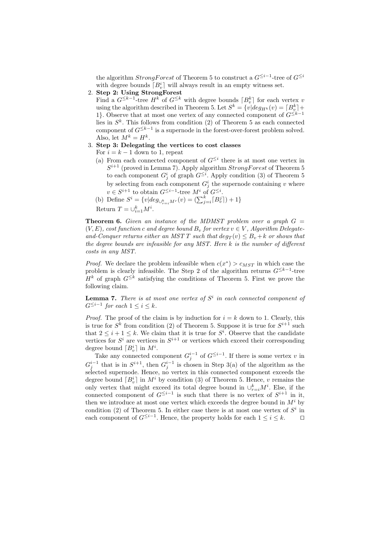the algorithm  $Strong Forest$  of Theorem 5 to construct a  $G^{\leq i-1}$ -tree of  $G^{\leq i}$ with degree bounds  $\lceil B_v^i \rceil$  will always result in an empty witness set.

2. Step 2: Using StrongForest

Find a  $G^{\leq k-1}$ -tree  $H^k$  of  $G^{\leq k}$  with degree bounds  $\lceil B_v^k \rceil$  for each vertex v using the algorithm described in Theorem 5. Let  $S^k = \{v | deg_{H^k}(v) = [B_v^k] +$ 1}. Observe that at most one vertex of any connected component of  $G^{\leq k-1}$ lies in  $S<sup>k</sup>$ . This follows from condition (2) of Theorem 5 as each connected component of  $G^{\leq k-1}$  is a supernode in the forest-over-forest problem solved. Also, let  $M^k = H^k$ .

- 3. Step 3: Delegating the vertices to cost classes
	- For  $i = k 1$  down to 1, repeat
	- (a) From each connected component of  $G^{\leq i}$  there is at most one vertex in  $S^{i+1}$  (proved in Lemma 7). Apply algorithm  $Strong Forest$  of Theorem 5 to each component  $G_j^i$  of graph  $G^{\leq i}$ . Apply condition (3) of Theorem 5 by selecting from each component  $G_j^i$  the supernode containing v where  $v \in S^{i+1}$  to obtain  $G^{\leq i-1}$ -tree  $M^i$  of  $G^{\leq i}$ .
	- (b) Define  $S^i = \{v | deg_{\bigcup_{r=i}^{k} Mr}(v) = (\sum_{j=i}^{k} [B_{ij}^{j}]) + 1\}$

Return  $T = \bigcup_{i=1}^{k} M^i$ .

**Theorem 6.** Given an instance of the MDMST problem over a graph  $G =$  $(V, E)$ , cost function c and degree bound  $B_v$  for vertex  $v \in V$ , Algorithm Delegateand-Conquer returns either an MST T such that  $deg_T(v) \leq B_v + k$  or shows that the degree bounds are infeasible for any MST. Here k is the number of different costs in any MST.

*Proof.* We declare the problem infeasible when  $c(x^*) > c_{MST}$  in which case the problem is clearly infeasible. The Step 2 of the algorithm returns  $G^{\leq k-1}$ -tree  $H^k$  of graph  $G^{\leq k}$  satisfying the conditions of Theorem 5. First we prove the following claim.

**Lemma 7.** There is at most one vertex of  $S<sup>i</sup>$  in each connected component of  $G^{\leq i-1}$  for each  $1 \leq i \leq k$ .

*Proof.* The proof of the claim is by induction for  $i = k$  down to 1. Clearly, this is true for  $S^k$  from condition (2) of Theorem 5. Suppose it is true for  $S^{i+1}$  such that  $2 \leq i+1 \leq k$ . We claim that it is true for  $S<sup>i</sup>$ . Observe that the candidate vertices for  $S^i$  are vertices in  $S^{i+1}$  or vertices which exceed their corresponding degree bound  $[B^i_n]$  in  $M^i$ .

Take any connected component  $G_j^{i-1}$  of  $G^{\leq i-1}$ . If there is some vertex v in  $G_j^{i-1}$  that is in  $S^{i+1}$ , then  $G_j^{i-1}$  is chosen in Step 3(a) of the algorithm as the selected supernode. Hence, no vertex in this connected component exceeds the degree bound  $[B_v^i]$  in  $M^i$  by condition (3) of Theorem 5. Hence, v remains the only vertex that might exceed its total degree bound in  $\cup_{r=i}^k M^i$ . Else, if the connected component of  $G^{\leq i-1}$  is such that there is no vertex of  $S^{i+1}$  in it, then we introduce at most one vertex which exceeds the degree bound in  $M^i$  by condition (2) of Theorem 5. In either case there is at most one vertex of  $S^i$  in each component of  $G^{\leq i-1}$ . Hence, the property holds for each  $1 \leq i \leq k$ . □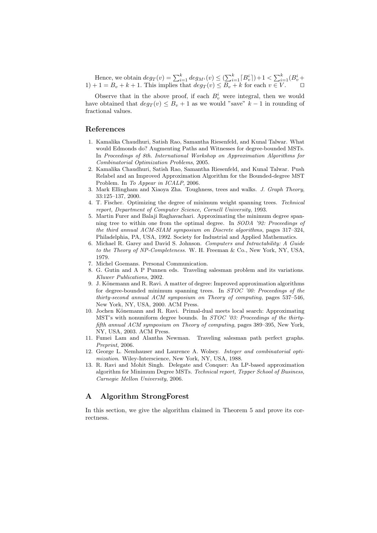Hence, we obtain  $deg_T(v) = \sum_{i=1}^k deg_{M^i}(v) \leq (\sum_{i=1}^k [B^i_v]) + 1 < \sum_{i=1}^k (B^i_v +$  $1+1 = B_v + k + 1$ . This implies that  $deg_T(v) \leq B_v + k$  for each  $v \in V$ .  $\Box$ 

Observe that in the above proof, if each  $B_v^i$  were integral, then we would have obtained that  $deg_T(v) \leq B_v + 1$  as we would "save"  $k - 1$  in rounding of fractional values.

# References

- 1. Kamalika Chaudhuri, Satish Rao, Samantha Riesenfeld, and Kunal Talwar. What would Edmonds do? Augmenting Paths and Witnesses for degree-bounded MSTs. In Proceedings of 8th. International Workshop on Approximation Algorithms for Combinatorial Optimization Problems, 2005.
- 2. Kamalika Chaudhuri, Satish Rao, Samantha Riesenfeld, and Kunal Talwar. Push Relabel and an Improved Approximation Algorithm for the Bounded-degree MST Problem. In To Appear in ICALP, 2006.
- 3. Mark Ellingham and Xiaoya Zha. Toughness, trees and walks. J. Graph Theory, 33:125–137, 2000.
- 4. T. Fischer. Optimizing the degree of minimum weight spanning trees. Technical report, Department of Computer Science, Cornell University, 1993.
- 5. Martin Furer and Balaji Raghavachari. Approximating the minimum degree spanning tree to within one from the optimal degree. In SODA '92: Proceedings of the third annual ACM-SIAM symposium on Discrete algorithms, pages 317–324, Philadelphia, PA, USA, 1992. Society for Industrial and Applied Mathematics.
- 6. Michael R. Garey and David S. Johnson. Computers and Intractability: A Guide to the Theory of NP-Completeness. W. H. Freeman & Co., New York, NY, USA, 1979.
- 7. Michel Goemans. Personal Communication.
- 8. G. Gutin and A P Punnen eds. Traveling salesman problem and its variations. Kluwer Publications, 2002.
- 9. J. Könemann and R. Ravi. A matter of degree: Improved approximation algorithms for degree-bounded minimum spanning trees. In STOC '00: Proceedings of the thirty-second annual ACM symposium on Theory of computing, pages 537–546, New York, NY, USA, 2000. ACM Press.
- 10. Jochen K¨onemann and R. Ravi. Primal-dual meets local search: Approximating MST's with nonuniform degree bounds. In *STOC* '03: Proceedings of the thirtyfifth annual ACM symposium on Theory of computing, pages 389–395, New York, NY, USA, 2003. ACM Press.
- 11. Fumei Lam and Alantha Newman. Traveling salesman path perfect graphs. Preprint, 2006.
- 12. George L. Nemhauser and Laurence A. Wolsey. Integer and combinatorial optimization. Wiley-Interscience, New York, NY, USA, 1988.
- 13. R. Ravi and Mohit Singh. Delegate and Conquer: An LP-based approximation algorithm for Minimum Degree MSTs. Technical report, Tepper School of Business, Carnegie Mellon University, 2006.

# A Algorithm StrongForest

In this section, we give the algorithm claimed in Theorem 5 and prove its correctness.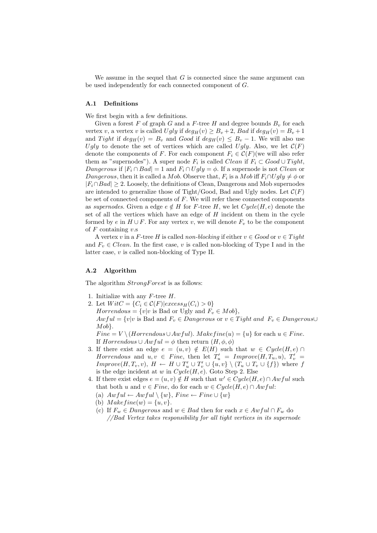We assume in the sequel that  $G$  is connected since the same argument can be used independently for each connected component of G.

## A.1 Definitions

We first begin with a few definitions.

Given a forest F of graph G and a F-tree H and degree bounds  $B_v$  for each vertex v, a vertex v is called Ugly if  $deg_H(v) \ge B_v + 2$ , Bad if  $deg_H(v) = B_v + 1$ and Tight if  $deg_H(v) = B_v$  and  $Good$  if  $deg_H(v) \leq B_v - 1$ . We will also use Ugly to denote the set of vertices which are called Ugly. Also, we let  $\mathcal{C}(F)$ denote the components of F. For each component  $F_i \in \mathcal{C}(F)$  (we will also refer them as "supernodes"). A super node  $F_i$  is called *Clean* if  $F_i \subset Good \cup Tight$ , Dangerous if  $|F_i \cap Bad| = 1$  and  $F_i \cap Ugly = \phi$ . If a supernode is not *Clean* or Dangerous, then it is called a Mob. Observe that,  $F_i$  is a Mob iff  $F_i \cap Ugly \neq \phi$  or  $|F_i \cap Bad| \geq 2$ . Loosely, the definitions of Clean, Dangerous and Mob supernodes are intended to generalize those of Tight/Good, Bad and Ugly nodes. Let  $\mathcal{C}(F)$ be set of connected components of  $F$ . We will refer these connected components as supernodes. Given a edge  $e \notin H$  for F-tree H, we let  $Cycle(H, e)$  denote the set of all the vertices which have an edge of  $H$  incident on them in the cycle formed by e in  $H \cup F$ . For any vertex v, we will denote  $F_v$  to be the component of  $F$  containing  $v$ .s

A vertex v in a F-tree H is called non-blocking if either  $v \in Good$  or  $v \in Tight$ and  $F_v \in Clean$ . In the first case, v is called non-blocking of Type I and in the latter case, v is called non-blocking of Type II.

#### A.2 Algorithm

The algorithm  $Strong Forest$  is as follows:

- 1. Initialize with any  $F$ -tree  $H$ .
- 2. Let  $W$ it $C = \{C_i \in \mathcal{C}(F) | e \text{xcess}_H(C_i) > 0\}$  $Horrendous = \{v|v \text{ is Bad or Ugly and } F_v \in Mob\},\$  $Awful = \{v|v \text{ is Bad and } F_v \in Dangerous \text{ or } v \in Tight and F_v \in Dangerous\cup$  $Mob$ .  $Fine = V \setminus (Horrendous \cup Awful)$ .  $Makefine(u) = \{u\}$  for each  $u \in Fine$ . If  $Horrendous \cup Awful = \phi$  then return  $(H, \phi, \phi)$
- 3. If there exist an edge  $e = (u, v) \notin E(H)$  such that  $w \in Cycle(H, e) \cap$ Horrendous and  $u, v \in \text{ Fine}, \text{ then let } T'_u = \text{Improve}(H, T_u, u), T'_v =$  $Improve(H, T_v, v), H \leftarrow H \cup T'_u \cup T'_v \cup \{u, v\} \setminus (T_u \cup T_v \cup \{f\})$  where f is the edge incident at w in  $Cycle(H, e)$ . Goto Step 2. Else
- 4. If there exist edges  $e = (u, v) \notin H$  such that  $w' \in Cycle(H, e) \cap Awful$  such that both u and  $v \in Fine$ , do for each  $w \in Cycle(H, e) \cap Awful$ :
	- (a)  $Awful \leftarrow Awful \setminus \{w\}$ ,  $Func \leftarrow Fine \cup \{w\}$
	- (b)  $Makefine(w) = \{u, v\}.$
	- (c) If  $F_w \in *Dangerows*$  and  $w \in$  Bad then for each  $x \in Awful \cap F_w$  do //Bad Vertex takes responsibility for all tight vertices in its supernode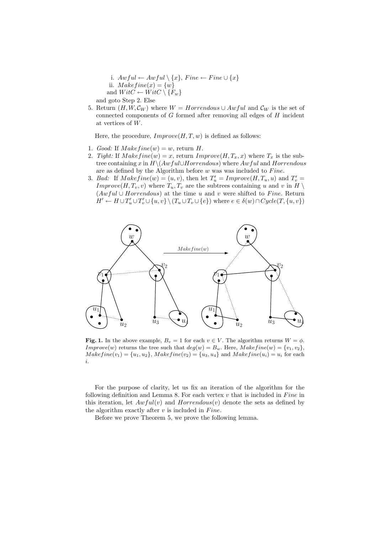- i.  $Awful \leftarrow Awful \setminus \{x\}$ , Fine  $\leftarrow$  Fine  $\cup \{x\}$ ii.  $Makefine(x) = \{w\}$ and  $WitC \leftarrow WitC \setminus \{F_w\}$ and goto Step 2. Else
- 5. Return  $(H, W, C_W)$  where  $W = Horrendous \cup Awful$  and  $C_W$  is the set of connected components of G formed after removing all edges of H incident at vertices of W.

Here, the procedure,  $Improve(H, T, w)$  is defined as follows:

- 1. Good: If  $Makefine(w) = w$ , return H.
- 2. Tight: If  $Makefine(w) = x$ , return  $Improve(H, T_x, x)$  where  $T_x$  is the subtree containing x in  $H\setminus (Awful\cup Horrendous)$  where  $Awful$  and  $Horrendous$ are as defined by the Algorithm before  $w$  was was included to  $\ni$ ine.
- 3. Bad: If  $Makefine(w) = (u, v)$ , then let  $T'_u = Improve(H, T_u, u)$  and  $T'_v =$ Improve $(H, T_v, v)$  where  $T_u, T_v$  are the subtrees containing u and v in H  $(Awful \cup Horrendous)$  at the time u and v were shifted to Fine. Return  $H' \leftarrow H \cup T'_u \cup T'_v \cup \{u, v\} \setminus (T_u \cup T_v \cup \{e\})$  where  $e \in \delta(w) \cap Cycle(T, \{u, v\})$



Fig. 1. In the above example,  $B_v = 1$  for each  $v \in V$ . The algorithm returns  $W = \phi$ . Improve(w) returns the tree such that  $deg(w) = B_w$ . Here,  $Makefine(w) = \{v_1, v_2\}$ ,  $Makefine(v_1) = {u_1, u_2}, Makefine(v_2) = {u_3, u_4} and Makefine(u_i) = u_i$  for each i.

For the purpose of clarity, let us fix an iteration of the algorithm for the following definition and Lemma 8. For each vertex  $v$  that is included in Fine in this iteration, let  $Awful(v)$  and  $Horrendous(v)$  denote the sets as defined by the algorithm exactly after  $v$  is included in Fine.

Before we prove Theorem 5, we prove the following lemma.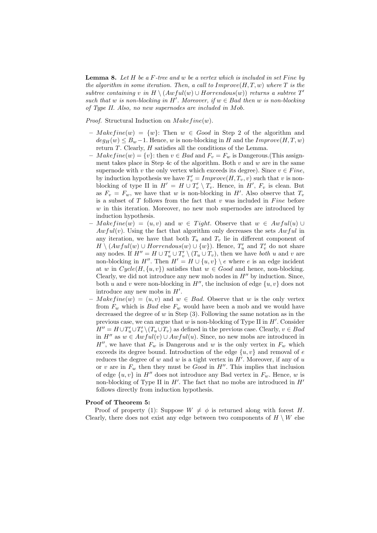**Lemma 8.** Let  $H$  be a  $F$ -tree and  $w$  be a vertex which is included in set Fine by the algorithm in some iteration. Then, a call to  $Improve(H, T, w)$  where T is the subtree containing v in  $H \setminus (Awful(w) \cup Horrendous(w))$  returns a subtree  $T'$ such that w is non-blocking in H'. Moreover, if  $w \in Bad$  then w is non-blocking of Type II. Also, no new supernodes are included in Mob.

*Proof.* Structural Induction on  $Makefine(w)$ .

- $-Makefine(w) = \{w\}$ : Then  $w \in Good$  in Step 2 of the algorithm and  $deg_H(w) \leq B_w - 1$ . Hence, w is non-blocking in H and the  $Improve(H, T, w)$ return  $T$ . Clearly,  $H$  satisfies all the conditions of the Lemma.
- $Makefine(w) = \{v\}$ : then  $v \in Bad$  and  $F_v = F_w$  is Dangerous.(This assignment takes place in Step 4c of the algorithm. Both  $v$  and  $w$  are in the same supernode with v the only vertex which exceeds its degree). Since  $v \in Fine$ , by induction hypothesis we have  $T_v' = \text{Improve}(H, T_v, v)$  such that v is nonblocking of type II in  $H' = H \cup T'_v \setminus T_v$ . Hence, in  $H'$ ,  $F_v$  is clean. But as  $F_v = F_w$ , we have that w is non-blocking in H'. Also observe that  $T_v$ is a subset of  $T$  follows from the fact that  $v$  was included in  $Fine$  before  $w$  in this iteration. Moreover, no new mob supernodes are introduced by induction hypothesis.
- $Makefine(w) = (u, v)$  and  $w \in Tight$ . Observe that  $w \in Awful(u)$  $Awful(v)$ . Using the fact that algorithm only decreases the sets  $Awful$  in any iteration, we have that both  $T_u$  and  $T_v$  lie in different component of  $H \setminus (Awful(w) \cup Horrendous(w) \cup \{w\})$ . Hence,  $T'_u$  and  $T'_v$  do not share any nodes. If  $H'' = H \cup T'_u \cup T'_v \setminus (T_u \cup T_v)$ , then we have *both* u and v are non-blocking in H''. Then  $H' = H \cup \{u, v\} \setminus e$  where e is an edge incident at w in  $Cycle(H, \{u, v\})$  satisfies that  $w \in Good$  and hence, non-blocking. Clearly, we did not introduce any new mob nodes in  $H''$  by induction. Since, both u and v were non-blocking in  $H''$ , the inclusion of edge  $\{u, v\}$  does not introduce any new mobs in  $H'$ .
- $Makefine(w) = (u, v)$  and  $w \in Bad$ . Observe that w is the only vertex from  $F_w$  which is *Bad* else  $F_w$  would have been a mob and we would have decreased the degree of  $w$  in Step  $(3)$ . Following the same notation as in the previous case, we can argue that  $w$  is non-blocking of Type II in  $H'$ . Consider  $H'' = H \cup T'_u \cup T'_v \setminus (T_u \cup T_v)$  as defined in the previous case. Clearly,  $v \in Bad$ in  $H''$  as  $w ∈ Awful(v) ∪ Awful(u)$ . Since, no new mobs are introduced in  $H''$ , we have that  $F_w$  is Dangerous and w is the only vertex in  $F_w$  which exceeds its degree bound. Introduction of the edge  $\{u, v\}$  and removal of e reduces the degree of w and w is a tight vertex in  $H'$ . Moreover, if any of u or v are in  $F_w$  then they must be *Good* in  $H''$ . This implies that inclusion of edge  $\{u, v\}$  in H<sup>tt</sup> does not introduce any Bad vertex in  $F_w$ . Hence, w is non-blocking of Type II in  $H'$ . The fact that no mobs are introduced in  $H'$ follows directly from induction hypothesis.

#### Proof of Theorem 5:

Proof of property (1): Suppose  $W \neq \phi$  is returned along with forest H. Clearly, there does not exist any edge between two components of  $H \setminus W$  else